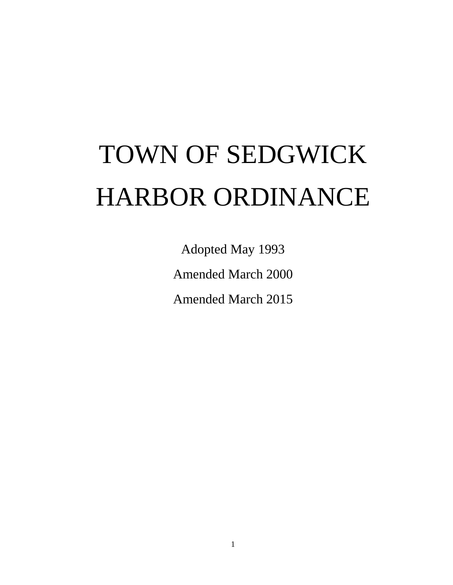# TOWN OF SEDGWICK HARBOR ORDINANCE

Adopted May 1993 Amended March 2000 Amended March 2015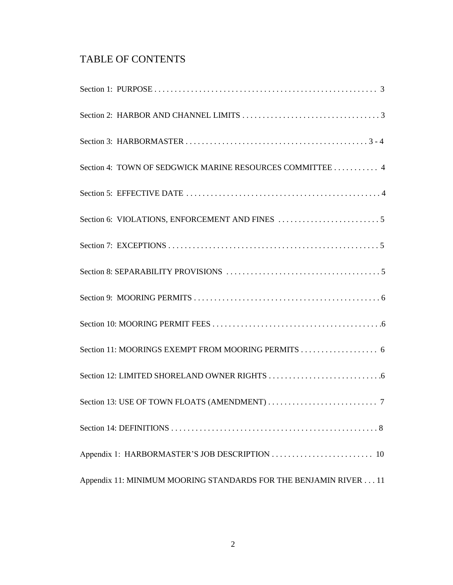# TABLE OF CONTENTS

| Section 4: TOWN OF SEDGWICK MARINE RESOURCES COMMITTEE  4        |
|------------------------------------------------------------------|
|                                                                  |
|                                                                  |
|                                                                  |
|                                                                  |
|                                                                  |
|                                                                  |
|                                                                  |
|                                                                  |
|                                                                  |
|                                                                  |
|                                                                  |
| Appendix 11: MINIMUM MOORING STANDARDS FOR THE BENJAMIN RIVER 11 |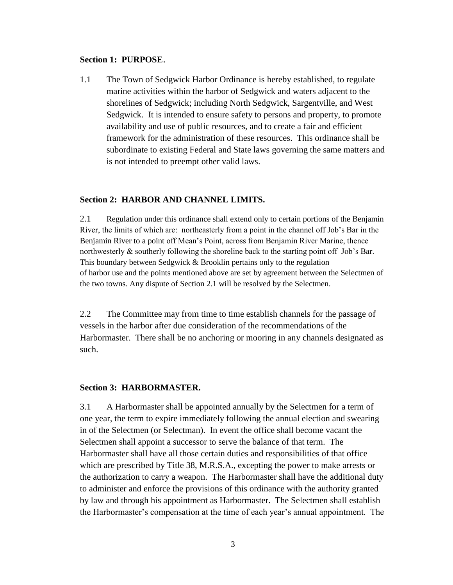#### **Section 1: PURPOSE**.

1.1 The Town of Sedgwick Harbor Ordinance is hereby established, to regulate marine activities within the harbor of Sedgwick and waters adjacent to the shorelines of Sedgwick; including North Sedgwick, Sargentville, and West Sedgwick. It is intended to ensure safety to persons and property, to promote availability and use of public resources, and to create a fair and efficient framework for the administration of these resources. This ordinance shall be subordinate to existing Federal and State laws governing the same matters and is not intended to preempt other valid laws.

#### **Section 2: HARBOR AND CHANNEL LIMITS.**

2.1 Regulation under this ordinance shall extend only to certain portions of the Benjamin River, the limits of which are: northeasterly from a point in the channel off Job's Bar in the Benjamin River to a point off Mean's Point, across from Benjamin River Marine, thence northwesterly  $\&$  southerly following the shoreline back to the starting point off Job's Bar. This boundary between Sedgwick & Brooklin pertains only to the regulation of harbor use and the points mentioned above are set by agreement between the Selectmen of the two towns. Any dispute of Section 2.1 will be resolved by the Selectmen.

2.2 The Committee may from time to time establish channels for the passage of vessels in the harbor after due consideration of the recommendations of the Harbormaster. There shall be no anchoring or mooring in any channels designated as such.

#### **Section 3: HARBORMASTER.**

3.1 A Harbormaster shall be appointed annually by the Selectmen for a term of one year, the term to expire immediately following the annual election and swearing in of the Selectmen (or Selectman). In event the office shall become vacant the Selectmen shall appoint a successor to serve the balance of that term. The Harbormaster shall have all those certain duties and responsibilities of that office which are prescribed by Title 38, M.R.S.A., excepting the power to make arrests or the authorization to carry a weapon. The Harbormaster shall have the additional duty to administer and enforce the provisions of this ordinance with the authority granted by law and through his appointment as Harbormaster. The Selectmen shall establish the Harbormaster's compensation at the time of each year's annual appointment. The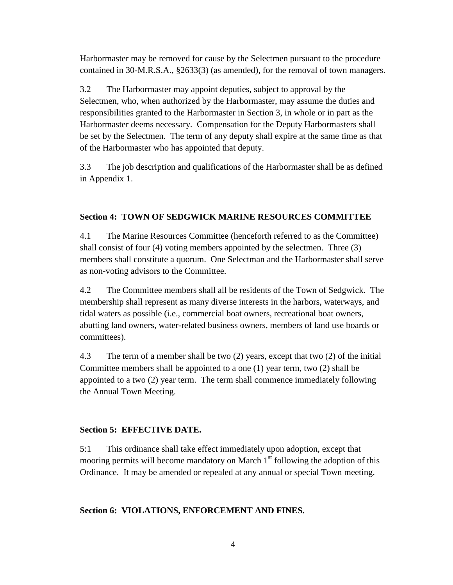Harbormaster may be removed for cause by the Selectmen pursuant to the procedure contained in 30-M.R.S.A., §2633(3) (as amended), for the removal of town managers.

3.2 The Harbormaster may appoint deputies, subject to approval by the Selectmen, who, when authorized by the Harbormaster, may assume the duties and responsibilities granted to the Harbormaster in Section 3, in whole or in part as the Harbormaster deems necessary. Compensation for the Deputy Harbormasters shall be set by the Selectmen. The term of any deputy shall expire at the same time as that of the Harbormaster who has appointed that deputy.

3.3 The job description and qualifications of the Harbormaster shall be as defined in Appendix 1.

## **Section 4: TOWN OF SEDGWICK MARINE RESOURCES COMMITTEE**

4.1 The Marine Resources Committee (henceforth referred to as the Committee) shall consist of four (4) voting members appointed by the selectmen. Three (3) members shall constitute a quorum. One Selectman and the Harbormaster shall serve as non-voting advisors to the Committee.

4.2 The Committee members shall all be residents of the Town of Sedgwick. The membership shall represent as many diverse interests in the harbors, waterways, and tidal waters as possible (i.e., commercial boat owners, recreational boat owners, abutting land owners, water-related business owners, members of land use boards or committees).

4.3 The term of a member shall be two (2) years, except that two (2) of the initial Committee members shall be appointed to a one (1) year term, two (2) shall be appointed to a two (2) year term. The term shall commence immediately following the Annual Town Meeting.

## **Section 5: EFFECTIVE DATE.**

5:1 This ordinance shall take effect immediately upon adoption, except that mooring permits will become mandatory on March  $1<sup>st</sup>$  following the adoption of this Ordinance. It may be amended or repealed at any annual or special Town meeting.

#### **Section 6: VIOLATIONS, ENFORCEMENT AND FINES.**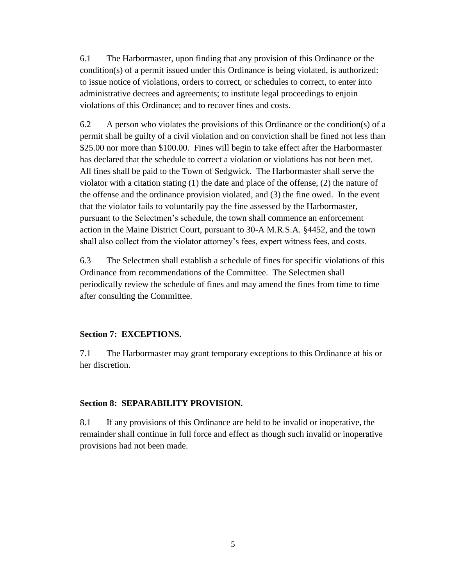6.1 The Harbormaster, upon finding that any provision of this Ordinance or the condition(s) of a permit issued under this Ordinance is being violated, is authorized: to issue notice of violations, orders to correct, or schedules to correct, to enter into administrative decrees and agreements; to institute legal proceedings to enjoin violations of this Ordinance; and to recover fines and costs.

6.2 A person who violates the provisions of this Ordinance or the condition(s) of a permit shall be guilty of a civil violation and on conviction shall be fined not less than \$25.00 nor more than \$100.00. Fines will begin to take effect after the Harbormaster has declared that the schedule to correct a violation or violations has not been met. All fines shall be paid to the Town of Sedgwick. The Harbormaster shall serve the violator with a citation stating (1) the date and place of the offense, (2) the nature of the offense and the ordinance provision violated, and (3) the fine owed. In the event that the violator fails to voluntarily pay the fine assessed by the Harbormaster, pursuant to the Selectmen's schedule, the town shall commence an enforcement action in the Maine District Court, pursuant to 30-A M.R.S.A. §4452, and the town shall also collect from the violator attorney's fees, expert witness fees, and costs.

6.3 The Selectmen shall establish a schedule of fines for specific violations of this Ordinance from recommendations of the Committee. The Selectmen shall periodically review the schedule of fines and may amend the fines from time to time after consulting the Committee.

#### **Section 7: EXCEPTIONS.**

7.1 The Harbormaster may grant temporary exceptions to this Ordinance at his or her discretion.

#### **Section 8: SEPARABILITY PROVISION.**

8.1 If any provisions of this Ordinance are held to be invalid or inoperative, the remainder shall continue in full force and effect as though such invalid or inoperative provisions had not been made.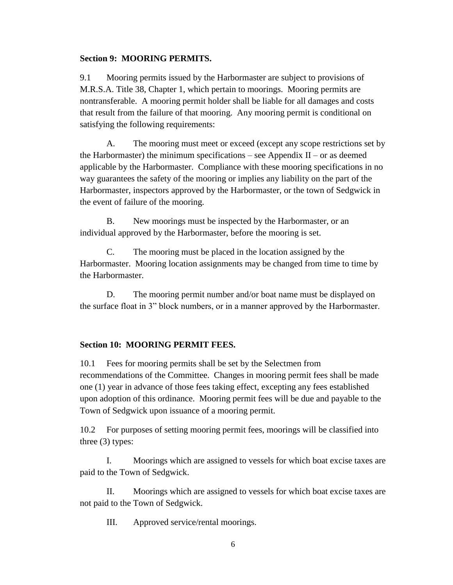#### **Section 9: MOORING PERMITS.**

9.1 Mooring permits issued by the Harbormaster are subject to provisions of M.R.S.A. Title 38, Chapter 1, which pertain to moorings. Mooring permits are nontransferable. A mooring permit holder shall be liable for all damages and costs that result from the failure of that mooring. Any mooring permit is conditional on satisfying the following requirements:

A. The mooring must meet or exceed (except any scope restrictions set by the Harbormaster) the minimum specifications – see Appendix  $II$  – or as deemed applicable by the Harbormaster. Compliance with these mooring specifications in no way guarantees the safety of the mooring or implies any liability on the part of the Harbormaster, inspectors approved by the Harbormaster, or the town of Sedgwick in the event of failure of the mooring.

B. New moorings must be inspected by the Harbormaster, or an individual approved by the Harbormaster, before the mooring is set.

C. The mooring must be placed in the location assigned by the Harbormaster. Mooring location assignments may be changed from time to time by the Harbormaster.

D. The mooring permit number and/or boat name must be displayed on the surface float in 3" block numbers, or in a manner approved by the Harbormaster.

#### **Section 10: MOORING PERMIT FEES.**

10.1 Fees for mooring permits shall be set by the Selectmen from recommendations of the Committee. Changes in mooring permit fees shall be made one (1) year in advance of those fees taking effect, excepting any fees established upon adoption of this ordinance. Mooring permit fees will be due and payable to the Town of Sedgwick upon issuance of a mooring permit.

10.2 For purposes of setting mooring permit fees, moorings will be classified into three (3) types:

I. Moorings which are assigned to vessels for which boat excise taxes are paid to the Town of Sedgwick.

II. Moorings which are assigned to vessels for which boat excise taxes are not paid to the Town of Sedgwick.

III. Approved service/rental moorings.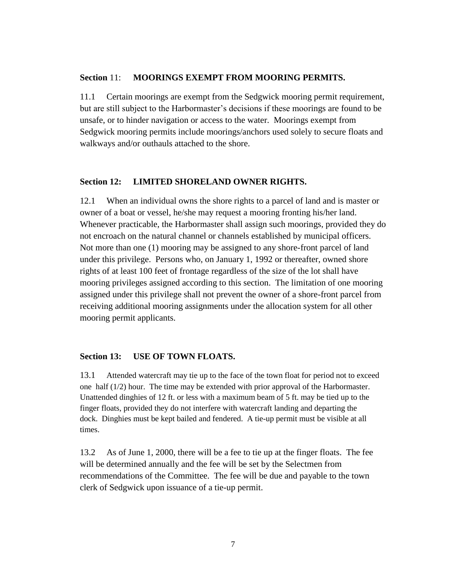#### **Section** 11: **MOORINGS EXEMPT FROM MOORING PERMITS.**

11.1 Certain moorings are exempt from the Sedgwick mooring permit requirement, but are still subject to the Harbormaster's decisions if these moorings are found to be unsafe, or to hinder navigation or access to the water. Moorings exempt from Sedgwick mooring permits include moorings/anchors used solely to secure floats and walkways and/or outhauls attached to the shore.

#### **Section 12: LIMITED SHORELAND OWNER RIGHTS.**

12.1 When an individual owns the shore rights to a parcel of land and is master or owner of a boat or vessel, he/she may request a mooring fronting his/her land. Whenever practicable, the Harbormaster shall assign such moorings, provided they do not encroach on the natural channel or channels established by municipal officers. Not more than one (1) mooring may be assigned to any shore-front parcel of land under this privilege. Persons who, on January 1, 1992 or thereafter, owned shore rights of at least 100 feet of frontage regardless of the size of the lot shall have mooring privileges assigned according to this section. The limitation of one mooring assigned under this privilege shall not prevent the owner of a shore-front parcel from receiving additional mooring assignments under the allocation system for all other mooring permit applicants.

#### **Section 13: USE OF TOWN FLOATS.**

13.1 Attended watercraft may tie up to the face of the town float for period not to exceed one half  $(1/2)$  hour. The time may be extended with prior approval of the Harbormaster. Unattended dinghies of 12 ft. or less with a maximum beam of 5 ft. may be tied up to the finger floats, provided they do not interfere with watercraft landing and departing the dock. Dinghies must be kept bailed and fendered. A tie-up permit must be visible at all times.

13.2 As of June 1, 2000, there will be a fee to tie up at the finger floats. The fee will be determined annually and the fee will be set by the Selectmen from recommendations of the Committee. The fee will be due and payable to the town clerk of Sedgwick upon issuance of a tie-up permit.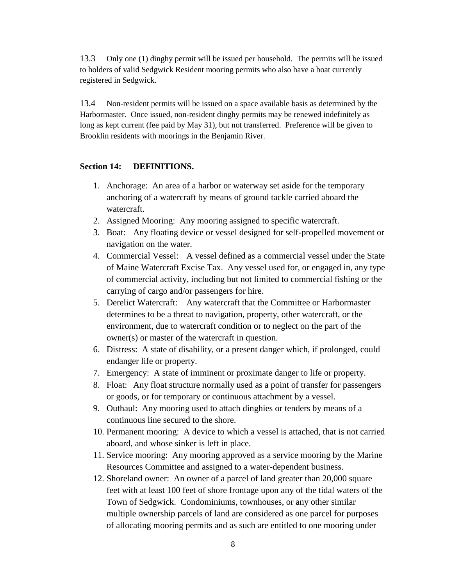13.3 Only one (1) dinghy permit will be issued per household. The permits will be issued to holders of valid Sedgwick Resident mooring permits who also have a boat currently registered in Sedgwick.

13.4 Non-resident permits will be issued on a space available basis as determined by the Harbormaster. Once issued, non-resident dinghy permits may be renewed indefinitely as long as kept current (fee paid by May 31), but not transferred. Preference will be given to Brooklin residents with moorings in the Benjamin River.

#### **Section 14: DEFINITIONS.**

- 1. Anchorage: An area of a harbor or waterway set aside for the temporary anchoring of a watercraft by means of ground tackle carried aboard the watercraft.
- 2. Assigned Mooring: Any mooring assigned to specific watercraft.
- 3. Boat: Any floating device or vessel designed for self-propelled movement or navigation on the water.
- 4. Commercial Vessel: A vessel defined as a commercial vessel under the State of Maine Watercraft Excise Tax. Any vessel used for, or engaged in, any type of commercial activity, including but not limited to commercial fishing or the carrying of cargo and/or passengers for hire.
- 5. Derelict Watercraft: Any watercraft that the Committee or Harbormaster determines to be a threat to navigation, property, other watercraft, or the environment, due to watercraft condition or to neglect on the part of the owner(s) or master of the watercraft in question.
- 6. Distress: A state of disability, or a present danger which, if prolonged, could endanger life or property.
- 7. Emergency: A state of imminent or proximate danger to life or property.
- 8. Float: Any float structure normally used as a point of transfer for passengers or goods, or for temporary or continuous attachment by a vessel.
- 9. Outhaul: Any mooring used to attach dinghies or tenders by means of a continuous line secured to the shore.
- 10. Permanent mooring: A device to which a vessel is attached, that is not carried aboard, and whose sinker is left in place.
- 11. Service mooring: Any mooring approved as a service mooring by the Marine Resources Committee and assigned to a water-dependent business.
- 12. Shoreland owner: An owner of a parcel of land greater than 20,000 square feet with at least 100 feet of shore frontage upon any of the tidal waters of the Town of Sedgwick. Condominiums, townhouses, or any other similar multiple ownership parcels of land are considered as one parcel for purposes of allocating mooring permits and as such are entitled to one mooring under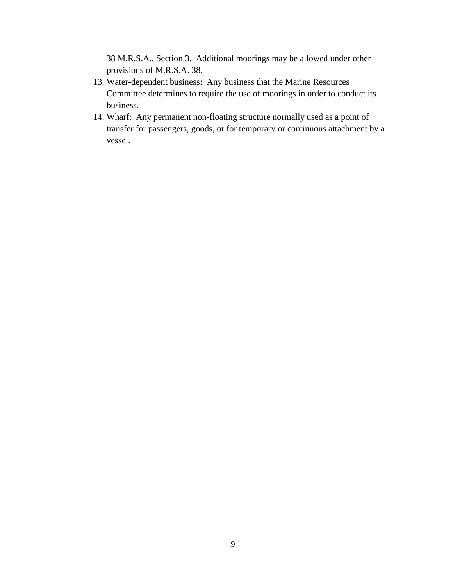38 M.R.S.A., Section 3. Additional moorings may be allowed under other provisions of M.R.S.A. 38.

- 13. Water-dependent business: Any business that the Marine Resources Committee determines to require the use of moorings in order to conduct its business.
- 14. Wharf: Any permanent non-floating structure normally used as a point of transfer for passengers, goods, or for temporary or continuous attachment by a vessel.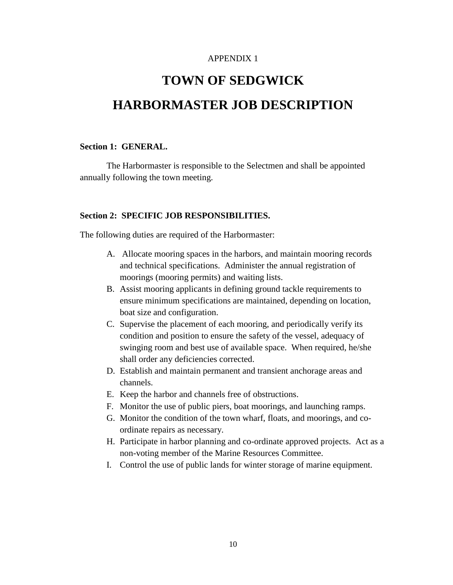#### APPENDIX 1

# **TOWN OF SEDGWICK HARBORMASTER JOB DESCRIPTION**

#### **Section 1: GENERAL.**

The Harbormaster is responsible to the Selectmen and shall be appointed annually following the town meeting.

#### **Section 2: SPECIFIC JOB RESPONSIBILITIES.**

The following duties are required of the Harbormaster:

- A. Allocate mooring spaces in the harbors, and maintain mooring records and technical specifications. Administer the annual registration of moorings (mooring permits) and waiting lists.
- B. Assist mooring applicants in defining ground tackle requirements to ensure minimum specifications are maintained, depending on location, boat size and configuration.
- C. Supervise the placement of each mooring, and periodically verify its condition and position to ensure the safety of the vessel, adequacy of swinging room and best use of available space. When required, he/she shall order any deficiencies corrected.
- D. Establish and maintain permanent and transient anchorage areas and channels.
- E. Keep the harbor and channels free of obstructions.
- F. Monitor the use of public piers, boat moorings, and launching ramps.
- G. Monitor the condition of the town wharf, floats, and moorings, and coordinate repairs as necessary.
- H. Participate in harbor planning and co-ordinate approved projects. Act as a non-voting member of the Marine Resources Committee.
- I. Control the use of public lands for winter storage of marine equipment.